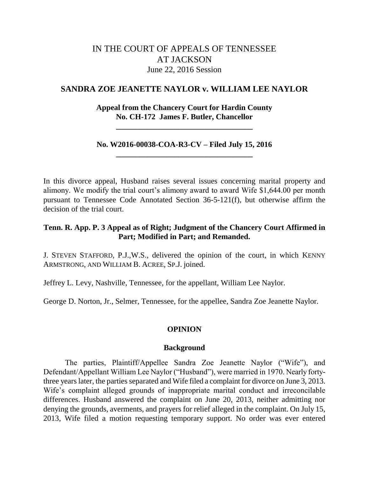# IN THE COURT OF APPEALS OF TENNESSEE AT JACKSON June 22, 2016 Session

## **SANDRA ZOE JEANETTE NAYLOR v. WILLIAM LEE NAYLOR**

## **Appeal from the Chancery Court for Hardin County No. CH-172 James F. Butler, Chancellor**

**\_\_\_\_\_\_\_\_\_\_\_\_\_\_\_\_\_\_\_\_\_\_\_\_\_\_\_\_\_\_\_\_\_\_\_**

## **No. W2016-00038-COA-R3-CV – Filed July 15, 2016 \_\_\_\_\_\_\_\_\_\_\_\_\_\_\_\_\_\_\_\_\_\_\_\_\_\_\_\_\_\_\_\_\_\_\_**

In this divorce appeal, Husband raises several issues concerning marital property and alimony. We modify the trial court's alimony award to award Wife \$1,644.00 per month pursuant to Tennessee Code Annotated Section 36-5-121(f), but otherwise affirm the decision of the trial court.

## **Tenn. R. App. P. 3 Appeal as of Right; Judgment of the Chancery Court Affirmed in Part; Modified in Part; and Remanded.**

J. STEVEN STAFFORD, P.J.,W.S., delivered the opinion of the court, in which KENNY ARMSTRONG, AND WILLIAM B. ACREE, SP.J. joined.

Jeffrey L. Levy, Nashville, Tennessee, for the appellant, William Lee Naylor.

George D. Norton, Jr., Selmer, Tennessee, for the appellee, Sandra Zoe Jeanette Naylor.

## **OPINION**

#### **Background**

The parties, Plaintiff/Appellee Sandra Zoe Jeanette Naylor ("Wife"), and Defendant/Appellant William Lee Naylor ("Husband"), were married in 1970. Nearly fortythree years later, the parties separated and Wife filed a complaint for divorce on June 3, 2013. Wife's complaint alleged grounds of inappropriate marital conduct and irreconcilable differences. Husband answered the complaint on June 20, 2013, neither admitting nor denying the grounds, averments, and prayers for relief alleged in the complaint. On July 15, 2013, Wife filed a motion requesting temporary support. No order was ever entered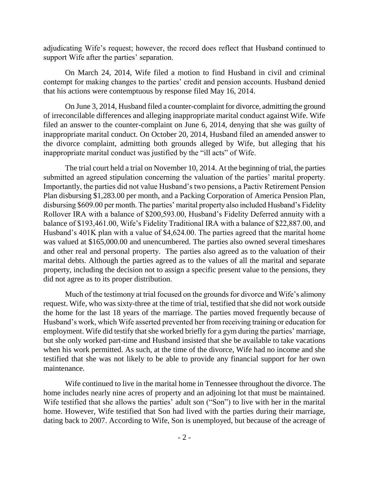adjudicating Wife"s request; however, the record does reflect that Husband continued to support Wife after the parties' separation.

On March 24, 2014, Wife filed a motion to find Husband in civil and criminal contempt for making changes to the parties' credit and pension accounts. Husband denied that his actions were contemptuous by response filed May 16, 2014.

On June 3, 2014, Husband filed a counter-complaint for divorce, admitting the ground of irreconcilable differences and alleging inappropriate marital conduct against Wife. Wife filed an answer to the counter-complaint on June 6, 2014, denying that she was guilty of inappropriate marital conduct. On October 20, 2014, Husband filed an amended answer to the divorce complaint, admitting both grounds alleged by Wife, but alleging that his inappropriate marital conduct was justified by the "ill acts" of Wife.

The trial court held a trial on November 10, 2014. At the beginning of trial, the parties submitted an agreed stipulation concerning the valuation of the parties' marital property. Importantly, the parties did not value Husband"s two pensions, a Pactiv Retirement Pension Plan disbursing \$1,283.00 per month, and a Packing Corporation of America Pension Plan, disbursing \$609.00 per month. The parties' marital property also included Husband's Fidelity Rollover IRA with a balance of \$200,593.00, Husband"s Fidelity Deferred annuity with a balance of \$193,461.00, Wife"s Fidelity Traditional IRA with a balance of \$22,887.00, and Husband"s 401K plan with a value of \$4,624.00. The parties agreed that the marital home was valued at \$165,000.00 and unencumbered. The parties also owned several timeshares and other real and personal property. The parties also agreed as to the valuation of their marital debts. Although the parties agreed as to the values of all the marital and separate property, including the decision not to assign a specific present value to the pensions, they did not agree as to its proper distribution.

Much of the testimony at trial focused on the grounds for divorce and Wife"s alimony request. Wife, who was sixty-three at the time of trial, testified that she did not work outside the home for the last 18 years of the marriage. The parties moved frequently because of Husband"s work, which Wife asserted prevented her from receiving training or education for employment. Wife did testify that she worked briefly for a gym during the parties' marriage, but she only worked part-time and Husband insisted that she be available to take vacations when his work permitted. As such, at the time of the divorce, Wife had no income and she testified that she was not likely to be able to provide any financial support for her own maintenance.

Wife continued to live in the marital home in Tennessee throughout the divorce. The home includes nearly nine acres of property and an adjoining lot that must be maintained. Wife testified that she allows the parties' adult son ("Son") to live with her in the marital home. However, Wife testified that Son had lived with the parties during their marriage, dating back to 2007. According to Wife, Son is unemployed, but because of the acreage of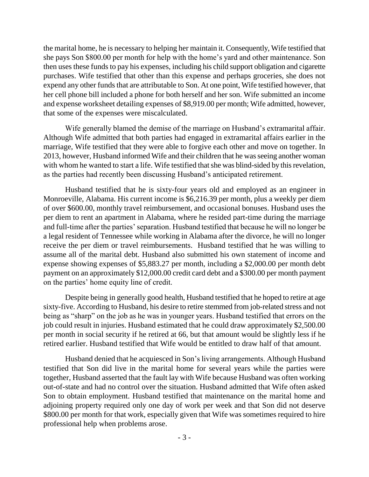the marital home, he is necessary to helping her maintain it. Consequently, Wife testified that she pays Son \$800.00 per month for help with the home"s yard and other maintenance. Son then uses these funds to pay his expenses, including his child support obligation and cigarette purchases. Wife testified that other than this expense and perhaps groceries, she does not expend any other funds that are attributable to Son. At one point, Wife testified however, that her cell phone bill included a phone for both herself and her son. Wife submitted an income and expense worksheet detailing expenses of \$8,919.00 per month; Wife admitted, however, that some of the expenses were miscalculated.

Wife generally blamed the demise of the marriage on Husband's extramarital affair. Although Wife admitted that both parties had engaged in extramarital affairs earlier in the marriage, Wife testified that they were able to forgive each other and move on together. In 2013, however, Husband informed Wife and their children that he was seeing another woman with whom he wanted to start a life. Wife testified that she was blind-sided by this revelation, as the parties had recently been discussing Husband"s anticipated retirement.

Husband testified that he is sixty-four years old and employed as an engineer in Monroeville, Alabama. His current income is \$6,216.39 per month, plus a weekly per diem of over \$600.00, monthly travel reimbursement, and occasional bonuses. Husband uses the per diem to rent an apartment in Alabama, where he resided part-time during the marriage and full-time after the parties" separation. Husband testified that because he will no longer be a legal resident of Tennessee while working in Alabama after the divorce, he will no longer receive the per diem or travel reimbursements. Husband testified that he was willing to assume all of the marital debt. Husband also submitted his own statement of income and expense showing expenses of \$5,883.27 per month, including a \$2,000.00 per month debt payment on an approximately \$12,000.00 credit card debt and a \$300.00 per month payment on the parties" home equity line of credit.

Despite being in generally good health, Husband testified that he hoped to retire at age sixty-five. According to Husband, his desire to retire stemmed from job-related stress and not being as "sharp" on the job as he was in younger years. Husband testified that errors on the job could result in injuries. Husband estimated that he could draw approximately \$2,500.00 per month in social security if he retired at 66, but that amount would be slightly less if he retired earlier. Husband testified that Wife would be entitled to draw half of that amount.

Husband denied that he acquiesced in Son"s living arrangements. Although Husband testified that Son did live in the marital home for several years while the parties were together, Husband asserted that the fault lay with Wife because Husband was often working out-of-state and had no control over the situation. Husband admitted that Wife often asked Son to obtain employment. Husband testified that maintenance on the marital home and adjoining property required only one day of work per week and that Son did not deserve \$800.00 per month for that work, especially given that Wife was sometimes required to hire professional help when problems arose.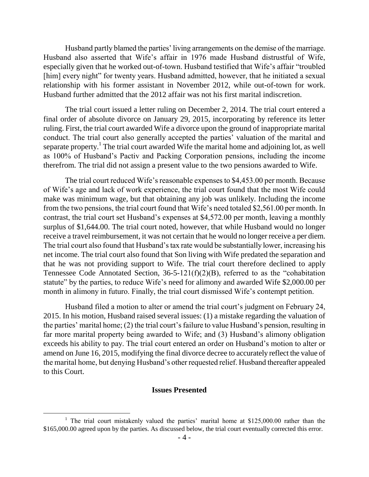Husband partly blamed the parties' living arrangements on the demise of the marriage. Husband also asserted that Wife's affair in 1976 made Husband distrustful of Wife, especially given that he worked out-of-town. Husband testified that Wife"s affair "troubled [him] every night" for twenty years. Husband admitted, however, that he initiated a sexual relationship with his former assistant in November 2012, while out-of-town for work. Husband further admitted that the 2012 affair was not his first marital indiscretion.

The trial court issued a letter ruling on December 2, 2014. The trial court entered a final order of absolute divorce on January 29, 2015, incorporating by reference its letter ruling. First, the trial court awarded Wife a divorce upon the ground of inappropriate marital conduct. The trial court also generally accepted the parties" valuation of the marital and separate property.<sup>1</sup> The trial court awarded Wife the marital home and adjoining lot, as well as 100% of Husband"s Pactiv and Packing Corporation pensions, including the income therefrom. The trial did not assign a present value to the two pensions awarded to Wife.

The trial court reduced Wife"s reasonable expenses to \$4,453.00 per month. Because of Wife"s age and lack of work experience, the trial court found that the most Wife could make was minimum wage, but that obtaining any job was unlikely. Including the income from the two pensions, the trial court found that Wife"s need totaled \$2,561.00 per month. In contrast, the trial court set Husband's expenses at \$4,572.00 per month, leaving a monthly surplus of \$1,644.00. The trial court noted, however, that while Husband would no longer receive a travel reimbursement, it was not certain that he would no longer receive a per diem. The trial court also found that Husband"s tax rate would be substantially lower, increasing his net income. The trial court also found that Son living with Wife predated the separation and that he was not providing support to Wife. The trial court therefore declined to apply Tennessee Code Annotated Section, 36-5-121(f)(2)(B), referred to as the "cohabitation statute" by the parties, to reduce Wife's need for alimony and awarded Wife \$2,000.00 per month in alimony in futuro. Finally, the trial court dismissed Wife"s contempt petition.

Husband filed a motion to alter or amend the trial court's judgment on February 24, 2015. In his motion, Husband raised several issues: (1) a mistake regarding the valuation of the parties' marital home; (2) the trial court's failure to value Husband's pension, resulting in far more marital property being awarded to Wife; and (3) Husband"s alimony obligation exceeds his ability to pay. The trial court entered an order on Husband"s motion to alter or amend on June 16, 2015, modifying the final divorce decree to accurately reflect the value of the marital home, but denying Husband"s other requested relief. Husband thereafter appealed to this Court.

#### **Issues Presented**

<sup>&</sup>lt;sup>1</sup> The trial court mistakenly valued the parties' marital home at \$125,000.00 rather than the \$165,000.00 agreed upon by the parties. As discussed below, the trial court eventually corrected this error.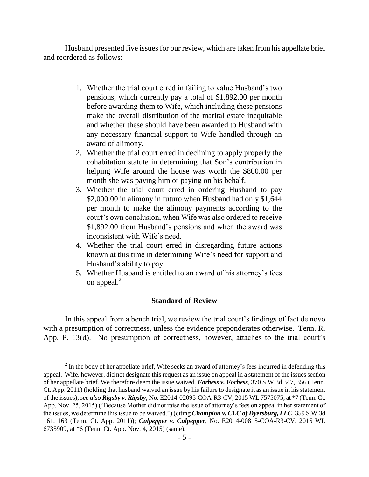Husband presented five issues for our review, which are taken from his appellate brief and reordered as follows:

- 1. Whether the trial court erred in failing to value Husband"s two pensions, which currently pay a total of \$1,892.00 per month before awarding them to Wife, which including these pensions make the overall distribution of the marital estate inequitable and whether these should have been awarded to Husband with any necessary financial support to Wife handled through an award of alimony.
- 2. Whether the trial court erred in declining to apply properly the cohabitation statute in determining that Son"s contribution in helping Wife around the house was worth the \$800.00 per month she was paying him or paying on his behalf.
- 3. Whether the trial court erred in ordering Husband to pay \$2,000.00 in alimony in futuro when Husband had only \$1,644 per month to make the alimony payments according to the court's own conclusion, when Wife was also ordered to receive \$1,892.00 from Husband"s pensions and when the award was inconsistent with Wife's need.
- 4. Whether the trial court erred in disregarding future actions known at this time in determining Wife"s need for support and Husband"s ability to pay.
- 5. Whether Husband is entitled to an award of his attorney"s fees on appeal. $^{2}$

## **Standard of Review**

In this appeal from a bench trial, we review the trial court's findings of fact de novo with a presumption of correctness, unless the evidence preponderates otherwise. Tenn. R. App. P. 13(d). No presumption of correctness, however, attaches to the trial court's

 $2<sup>2</sup>$  In the body of her appellate brief, Wife seeks an award of attorney's fees incurred in defending this appeal. Wife, however, did not designate this request as an issue on appeal in a statement of the issues section of her appellate brief. We therefore deem the issue waived. *Forbess v. Forbess*, 370 S.W.3d 347, 356 (Tenn. Ct. App. 2011) (holding that husband waived an issue by his failure to designate it as an issue in his statement of the issues); *see also Rigsby v. Rigsby*, No. E2014-02095-COA-R3-CV, 2015 WL 7575075, at \*7 (Tenn. Ct. App. Nov. 25, 2015) ("Because Mother did not raise the issue of attorney"s fees on appeal in her statement of the issues, we determine this issue to be waived.") (citing *Champion v. CLC of Dyersburg, LLC*, 359 S.W.3d 161, 163 (Tenn. Ct. App. 2011)); *Culpepper v. Culpepper*, No. E2014-00815-COA-R3-CV, 2015 WL 6735909, at \*6 (Tenn. Ct. App. Nov. 4, 2015) (same).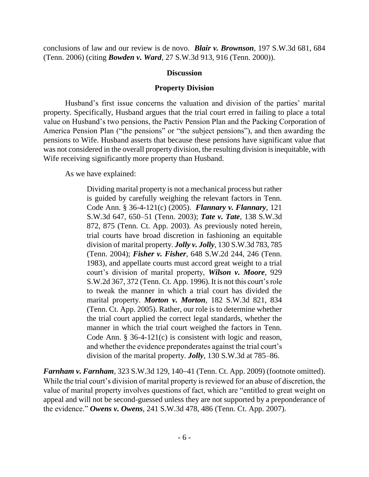conclusions of law and our review is de novo. *Blair v. Brownson*, 197 S.W.3d 681, 684 (Tenn. 2006) (citing *Bowden v. Ward*, 27 S.W.3d 913, 916 (Tenn. 2000)).

#### **Discussion**

#### **Property Division**

Husband's first issue concerns the valuation and division of the parties' marital property. Specifically, Husband argues that the trial court erred in failing to place a total value on Husband"s two pensions, the Pactiv Pension Plan and the Packing Corporation of America Pension Plan ("the pensions" or "the subject pensions"), and then awarding the pensions to Wife. Husband asserts that because these pensions have significant value that was not considered in the overall property division, the resulting division is inequitable, with Wife receiving significantly more property than Husband.

As we have explained:

Dividing marital property is not a mechanical process but rather is guided by carefully weighing the relevant factors in Tenn. Code Ann. § 36-4-121(c) (2005). *Flannary v. Flannary*, 121 S.W.3d 647, 650–51 (Tenn. 2003); *Tate v. Tate*, 138 S.W.3d 872, 875 (Tenn. Ct. App. 2003). As previously noted herein, trial courts have broad discretion in fashioning an equitable division of marital property. *Jolly v. Jolly*, 130 S.W.3d 783, 785 (Tenn. 2004); *Fisher v. Fisher*, 648 S.W.2d 244, 246 (Tenn. 1983), and appellate courts must accord great weight to a trial court"s division of marital property, *Wilson v. Moore*, 929 S.W.2d 367, 372 (Tenn. Ct. App. 1996). It is not this court's role to tweak the manner in which a trial court has divided the marital property. *Morton v. Morton*, 182 S.W.3d 821, 834 (Tenn. Ct. App. 2005). Rather, our role is to determine whether the trial court applied the correct legal standards, whether the manner in which the trial court weighed the factors in Tenn. Code Ann. § 36-4-121(c) is consistent with logic and reason, and whether the evidence preponderates against the trial court's division of the marital property. *Jolly*, 130 S.W.3d at 785–86.

*Farnham v. Farnham*, 323 S.W.3d 129, 140–41 (Tenn. Ct. App. 2009) (footnote omitted). While the trial court's division of marital property is reviewed for an abuse of discretion, the value of marital property involves questions of fact, which are "entitled to great weight on appeal and will not be second-guessed unless they are not supported by a preponderance of the evidence." *Owens v. Owens*, 241 S.W.3d 478, 486 (Tenn. Ct. App. 2007).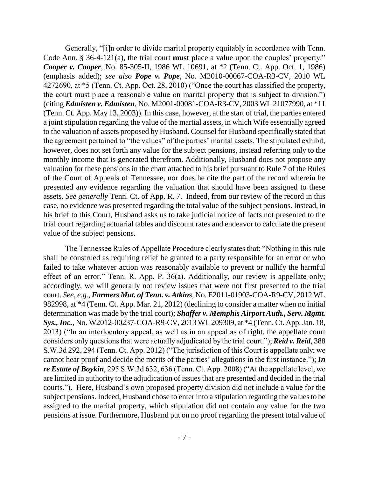Generally, "[i]n order to divide marital property equitably in accordance with Tenn. Code Ann. § 36-4-121(a), the trial court **must** place a value upon the couples' property." *Cooper v. Cooper*, No. 85-305-II, 1986 WL 10691, at \*2 (Tenn. Ct. App. Oct. 1, 1986) (emphasis added); *see also Pope v. Pope*, No. M2010-00067-COA-R3-CV, 2010 WL 4272690, at \*5 (Tenn. Ct. App. Oct. 28, 2010) ("Once the court has classified the property, the court must place a reasonable value on marital property that is subject to division.") (citing *Edmisten v. Edmisten*, No. M2001-00081-COA-R3-CV, 2003 WL 21077990, at \*11 (Tenn. Ct. App. May 13, 2003)). In this case, however, at the start of trial, the parties entered a joint stipulation regarding the value of the martial assets, in which Wife essentially agreed to the valuation of assets proposed by Husband. Counsel for Husband specifically stated that the agreement pertained to "the values" of the parties' marital assets. The stipulated exhibit, however, does not set forth any value for the subject pensions, instead referring only to the monthly income that is generated therefrom. Additionally, Husband does not propose any valuation for these pensions in the chart attached to his brief pursuant to Rule 7 of the Rules of the Court of Appeals of Tennessee, nor does he cite the part of the record wherein he presented any evidence regarding the valuation that should have been assigned to these assets. *See generally* Tenn. Ct. of App. R. 7. Indeed, from our review of the record in this case, no evidence was presented regarding the total value of the subject pensions. Instead, in his brief to this Court, Husband asks us to take judicial notice of facts not presented to the trial court regarding actuarial tables and discount rates and endeavor to calculate the present value of the subject pensions.

The Tennessee Rules of Appellate Procedure clearly states that: "Nothing in this rule shall be construed as requiring relief be granted to a party responsible for an error or who failed to take whatever action was reasonably available to prevent or nullify the harmful effect of an error." Tenn. R. App. P. 36(a). Additionally, our review is appellate only; accordingly, we will generally not review issues that were not first presented to the trial court. *See, e.g., Farmers Mut. of Tenn. v. Atkins*, No. E2011-01903-COA-R9-CV, 2012 WL 982998, at \*4 (Tenn. Ct. App. Mar. 21, 2012) (declining to consider a matter when no initial determination was made by the trial court); *Shaffer v. Memphis Airport Auth., Serv. Mgmt. Sys., Inc.*, No. W2012-00237-COA-R9-CV, 2013 WL 209309, at \*4 (Tenn. Ct. App. Jan. 18, 2013) ("In an interlocutory appeal, as well as in an appeal as of right, the appellate court considers only questions that were actually adjudicated by the trial court."); *Reid v. Reid*, 388 S.W.3d 292, 294 (Tenn. Ct. App. 2012) ("The jurisdiction of this Court is appellate only; we cannot hear proof and decide the merits of the parties' allegations in the first instance."); *In re Estate of Boykin*, 295 S.W.3d 632, 636 (Tenn. Ct. App. 2008) ("At the appellate level, we are limited in authority to the adjudication of issues that are presented and decided in the trial courts."). Here, Husband"s own proposed property division did not include a value for the subject pensions. Indeed, Husband chose to enter into a stipulation regarding the values to be assigned to the marital property, which stipulation did not contain any value for the two pensions at issue. Furthermore, Husband put on no proof regarding the present total value of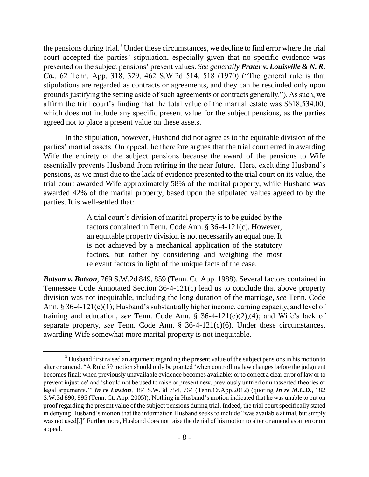the pensions during trial.<sup>3</sup> Under these circumstances, we decline to find error where the trial court accepted the parties' stipulation, especially given that no specific evidence was presented on the subject pensions" present values. *See generally Prater v. Louisville & N. R. Co.*, 62 Tenn. App. 318, 329, 462 S.W.2d 514, 518 (1970) ("The general rule is that stipulations are regarded as contracts or agreements, and they can be rescinded only upon grounds justifying the setting aside of such agreements or contracts generally."). As such, we affirm the trial court's finding that the total value of the marital estate was \$618,534.00, which does not include any specific present value for the subject pensions, as the parties agreed not to place a present value on these assets.

In the stipulation, however, Husband did not agree as to the equitable division of the parties' martial assets. On appeal, he therefore argues that the trial court erred in awarding Wife the entirety of the subject pensions because the award of the pensions to Wife essentially prevents Husband from retiring in the near future. Here, excluding Husband"s pensions, as we must due to the lack of evidence presented to the trial court on its value, the trial court awarded Wife approximately 58% of the marital property, while Husband was awarded 42% of the marital property, based upon the stipulated values agreed to by the parties. It is well-settled that:

> A trial court"s division of marital property is to be guided by the factors contained in Tenn. Code Ann. § 36-4-121(c). However, an equitable property division is not necessarily an equal one. It is not achieved by a mechanical application of the statutory factors, but rather by considering and weighing the most relevant factors in light of the unique facts of the case.

*Batson v. Batson*, 769 S.W.2d 849, 859 (Tenn. Ct. App. 1988). Several factors contained in Tennessee Code Annotated Section 36-4-121(c) lead us to conclude that above property division was not inequitable, including the long duration of the marriage, *see* Tenn. Code Ann. § 36-4-121(c)(1); Husband"s substantially higher income, earning capacity, and level of training and education, *see* Tenn. Code Ann. § 36-4-121(c)(2),(4); and Wife"s lack of separate property, *see* Tenn. Code Ann. § 36-4-121(c)(6). Under these circumstances, awarding Wife somewhat more marital property is not inequitable.

 $\overline{a}$ 

<sup>&</sup>lt;sup>3</sup> Husband first raised an argument regarding the present value of the subject pensions in his motion to alter or amend. "A Rule 59 motion should only be granted "when controlling law changes before the judgment becomes final; when previously unavailable evidence becomes available; or to correct a clear error of law or to prevent injustice" and "should not be used to raise or present new, previously untried or unasserted theories or legal arguments."" *In re Lawton*, 384 S.W.3d 754, 764 (Tenn.Ct.App.2012) (quoting *In re M.L.D.*, 182 S.W.3d 890, 895 (Tenn. Ct. App. 2005)). Nothing in Husband"s motion indicated that he was unable to put on proof regarding the present value of the subject pensions during trial. Indeed, the trial court specifically stated in denying Husband"s motion that the information Husband seeks to include "was available at trial, but simply was not used[.]" Furthermore, Husband does not raise the denial of his motion to alter or amend as an error on appeal.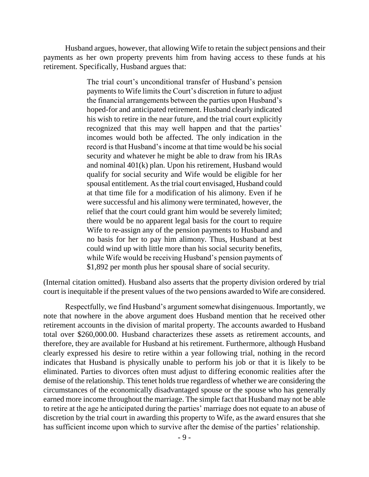Husband argues, however, that allowing Wife to retain the subject pensions and their payments as her own property prevents him from having access to these funds at his retirement. Specifically, Husband argues that:

> The trial court's unconditional transfer of Husband's pension payments to Wife limits the Court"s discretion in future to adjust the financial arrangements between the parties upon Husband"s hoped-for and anticipated retirement. Husband clearly indicated his wish to retire in the near future, and the trial court explicitly recognized that this may well happen and that the parties' incomes would both be affected. The only indication in the record is that Husband"s income at that time would be his social security and whatever he might be able to draw from his IRAs and nominal 401(k) plan. Upon his retirement, Husband would qualify for social security and Wife would be eligible for her spousal entitlement. As the trial court envisaged, Husband could at that time file for a modification of his alimony. Even if he were successful and his alimony were terminated, however, the relief that the court could grant him would be severely limited; there would be no apparent legal basis for the court to require Wife to re-assign any of the pension payments to Husband and no basis for her to pay him alimony. Thus, Husband at best could wind up with little more than his social security benefits, while Wife would be receiving Husband's pension payments of \$1,892 per month plus her spousal share of social security.

(Internal citation omitted). Husband also asserts that the property division ordered by trial court is inequitable if the present values of the two pensions awarded to Wife are considered.

Respectfully, we find Husband's argument somewhat disingenuous. Importantly, we note that nowhere in the above argument does Husband mention that he received other retirement accounts in the division of marital property. The accounts awarded to Husband total over \$260,000.00. Husband characterizes these assets as retirement accounts, and therefore, they are available for Husband at his retirement. Furthermore, although Husband clearly expressed his desire to retire within a year following trial, nothing in the record indicates that Husband is physically unable to perform his job or that it is likely to be eliminated. Parties to divorces often must adjust to differing economic realities after the demise of the relationship. This tenet holds true regardless of whether we are considering the circumstances of the economically disadvantaged spouse or the spouse who has generally earned more income throughout the marriage. The simple fact that Husband may not be able to retire at the age he anticipated during the parties' marriage does not equate to an abuse of discretion by the trial court in awarding this property to Wife, as the award ensures that she has sufficient income upon which to survive after the demise of the parties' relationship.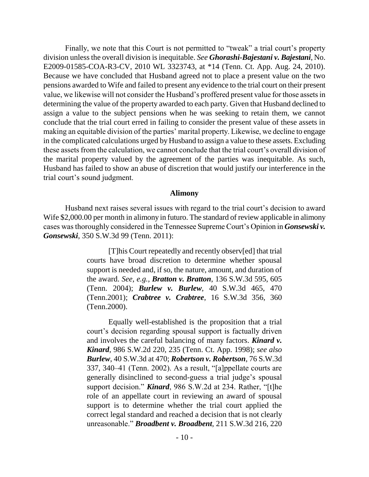Finally, we note that this Court is not permitted to "tweak" a trial court's property division unless the overall division is inequitable. *See Ghorashi-Bajestani v. Bajestani*, No. E2009-01585-COA-R3-CV, 2010 WL 3323743, at \*14 (Tenn. Ct. App. Aug. 24, 2010). Because we have concluded that Husband agreed not to place a present value on the two pensions awarded to Wife and failed to present any evidence to the trial court on their present value, we likewise will not consider the Husband"s proffered present value for those assets in determining the value of the property awarded to each party. Given that Husband declined to assign a value to the subject pensions when he was seeking to retain them, we cannot conclude that the trial court erred in failing to consider the present value of these assets in making an equitable division of the parties' marital property. Likewise, we decline to engage in the complicated calculations urged by Husband to assign a value to these assets. Excluding these assets from the calculation, we cannot conclude that the trial court's overall division of the marital property valued by the agreement of the parties was inequitable. As such, Husband has failed to show an abuse of discretion that would justify our interference in the trial court's sound judgment.

#### **Alimony**

Husband next raises several issues with regard to the trial court's decision to award Wife \$2,000.00 per month in alimony in futuro. The standard of review applicable in alimony cases was thoroughly considered in the Tennessee Supreme Court"s Opinion in *Gonsewski v. Gonsewski*, 350 S.W.3d 99 (Tenn. 2011):

> [T]his Court repeatedly and recently observ[ed] that trial courts have broad discretion to determine whether spousal support is needed and, if so, the nature, amount, and duration of the award. *See, e.g., Bratton v. Bratton*, 136 S.W.3d 595, 605 (Tenn. 2004); *Burlew v. Burlew*, 40 S.W.3d 465, 470 (Tenn.2001); *Crabtree v. Crabtree*, 16 S.W.3d 356, 360 (Tenn.2000).

> Equally well-established is the proposition that a trial court"s decision regarding spousal support is factually driven and involves the careful balancing of many factors. *Kinard v. Kinard*, 986 S.W.2d 220, 235 (Tenn. Ct. App. 1998); *see also Burlew*, 40 S.W.3d at 470; *Robertson v. Robertson*, 76 S.W.3d 337, 340–41 (Tenn. 2002). As a result, "[a]ppellate courts are generally disinclined to second-guess a trial judge"s spousal support decision." *Kinard*, 986 S.W.2d at 234. Rather, "[t]he role of an appellate court in reviewing an award of spousal support is to determine whether the trial court applied the correct legal standard and reached a decision that is not clearly unreasonable." *Broadbent v. Broadbent*, 211 S.W.3d 216, 220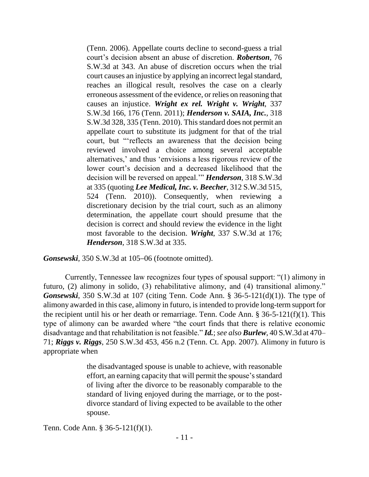(Tenn. 2006). Appellate courts decline to second-guess a trial court"s decision absent an abuse of discretion. *Robertson*, 76 S.W.3d at 343. An abuse of discretion occurs when the trial court causes an injustice by applying an incorrect legal standard, reaches an illogical result, resolves the case on a clearly erroneous assessment of the evidence, or relies on reasoning that causes an injustice. *Wright ex rel. Wright v. Wright*, 337 S.W.3d 166, 176 (Tenn. 2011); *Henderson v. SAIA, Inc.*, 318 S.W.3d 328, 335 (Tenn. 2010). This standard does not permit an appellate court to substitute its judgment for that of the trial court, but ""reflects an awareness that the decision being reviewed involved a choice among several acceptable alternatives,' and thus 'envisions a less rigorous review of the lower court's decision and a decreased likelihood that the decision will be reversed on appeal."" *Henderson*, 318 S.W.3d at 335 (quoting *Lee Medical, Inc. v. Beecher*, 312 S.W.3d 515, 524 (Tenn. 2010)). Consequently, when reviewing a discretionary decision by the trial court, such as an alimony determination, the appellate court should presume that the decision is correct and should review the evidence in the light most favorable to the decision. *Wright*, 337 S.W.3d at 176; *Henderson*, 318 S.W.3d at 335.

*Gonsewski*, 350 S.W.3d at 105–06 (footnote omitted).

Currently, Tennessee law recognizes four types of spousal support: "(1) alimony in futuro, (2) alimony in solido, (3) rehabilitative alimony, and (4) transitional alimony." *Gonsewski*, 350 S.W.3d at 107 (citing Tenn. Code Ann. § 36-5-121(d)(1)). The type of alimony awarded in this case, alimony in futuro, is intended to provide long-term support for the recipient until his or her death or remarriage. Tenn. Code Ann.  $\S 36-5-121(f)(1)$ . This type of alimony can be awarded where "the court finds that there is relative economic disadvantage and that rehabilitation is not feasible." *Id.*;*see also Burlew*, 40 S.W.3d at 470– 71; *Riggs v. Riggs*, 250 S.W.3d 453, 456 n.2 (Tenn. Ct. App. 2007). Alimony in futuro is appropriate when

> the disadvantaged spouse is unable to achieve, with reasonable effort, an earning capacity that will permit the spouse's standard of living after the divorce to be reasonably comparable to the standard of living enjoyed during the marriage, or to the postdivorce standard of living expected to be available to the other spouse.

Tenn. Code Ann. § 36-5-121(f)(1).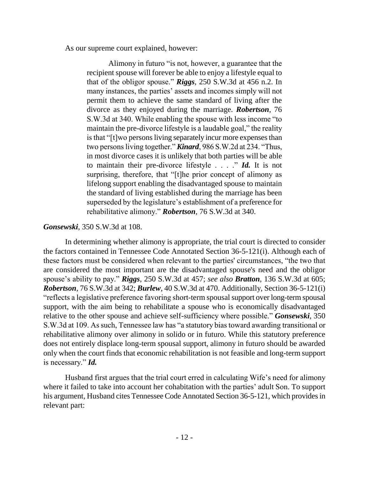As our supreme court explained, however:

Alimony in futuro "is not, however, a guarantee that the recipient spouse will forever be able to enjoy a lifestyle equal to that of the obligor spouse." *Riggs*, 250 S.W.3d at 456 n.2. In many instances, the parties' assets and incomes simply will not permit them to achieve the same standard of living after the divorce as they enjoyed during the marriage. *Robertson*, 76 S.W.3d at 340. While enabling the spouse with less income "to maintain the pre-divorce lifestyle is a laudable goal," the reality is that "[t]wo persons living separately incur more expenses than two persons living together." *Kinard*, 986 S.W.2d at 234. "Thus, in most divorce cases it is unlikely that both parties will be able to maintain their pre-divorce lifestyle . . . ." *Id.* It is not surprising, therefore, that "[t]he prior concept of alimony as lifelong support enabling the disadvantaged spouse to maintain the standard of living established during the marriage has been superseded by the legislature"s establishment of a preference for rehabilitative alimony." *Robertson*, 76 S.W.3d at 340.

## *Gonsewski*, 350 S.W.3d at 108.

In determining whether alimony is appropriate, the trial court is directed to consider the factors contained in Tennessee Code Annotated Section 36-5-121(i). Although each of these factors must be considered when relevant to the parties' circumstances, "the two that are considered the most important are the disadvantaged spouse's need and the obligor spouse"s ability to pay." *Riggs*, 250 S.W.3d at 457; *see also Bratton*, 136 S.W.3d at 605; *Robertson*, 76 S.W.3d at 342; *Burlew*, 40 S.W.3d at 470. Additionally, Section 36-5-121(i) "reflects a legislative preference favoring short-term spousal support over long-term spousal support, with the aim being to rehabilitate a spouse who is economically disadvantaged relative to the other spouse and achieve self-sufficiency where possible." *Gonsewski*, 350 S.W.3d at 109. As such, Tennessee law has "a statutory bias toward awarding transitional or rehabilitative alimony over alimony in solido or in futuro. While this statutory preference does not entirely displace long-term spousal support, alimony in futuro should be awarded only when the court finds that economic rehabilitation is not feasible and long-term support is necessary." *Id.*

Husband first argues that the trial court erred in calculating Wife"s need for alimony where it failed to take into account her cohabitation with the parties' adult Son. To support his argument, Husband cites Tennessee Code Annotated Section 36-5-121, which provides in relevant part: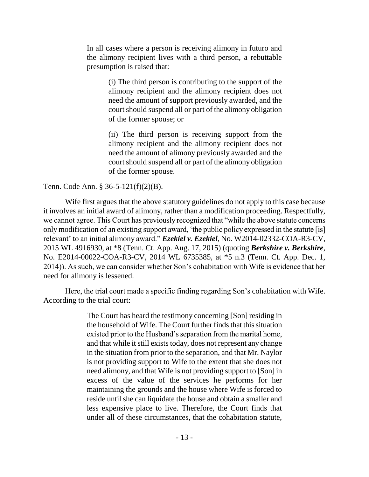In all cases where a person is receiving alimony in futuro and the alimony recipient lives with a third person, a rebuttable presumption is raised that:

> (i) The third person is contributing to the support of the alimony recipient and the alimony recipient does not need the amount of support previously awarded, and the court should suspend all or part of the alimony obligation of the former spouse; or

> (ii) The third person is receiving support from the alimony recipient and the alimony recipient does not need the amount of alimony previously awarded and the court should suspend all or part of the alimony obligation of the former spouse.

## Tenn. Code Ann. § 36-5-121(f)(2)(B).

Wife first argues that the above statutory guidelines do not apply to this case because it involves an initial award of alimony, rather than a modification proceeding. Respectfully, we cannot agree. This Court has previously recognized that "while the above statute concerns only modification of an existing support award, "the public policy expressed in the statute [is] relevant" to an initial alimony award." *Ezekiel v. Ezekiel*, No. W2014-02332-COA-R3-CV, 2015 WL 4916930, at \*8 (Tenn. Ct. App. Aug. 17, 2015) (quoting *Berkshire v. Berkshire*, No. E2014-00022-COA-R3-CV, 2014 WL 6735385, at \*5 n.3 (Tenn. Ct. App. Dec. 1, 2014)). As such, we can consider whether Son"s cohabitation with Wife is evidence that her need for alimony is lessened.

Here, the trial court made a specific finding regarding Son"s cohabitation with Wife. According to the trial court:

> The Court has heard the testimony concerning [Son] residing in the household of Wife. The Court further finds that this situation existed prior to the Husband"s separation from the marital home, and that while it still exists today, does not represent any change in the situation from prior to the separation, and that Mr. Naylor is not providing support to Wife to the extent that she does not need alimony, and that Wife is not providing support to [Son] in excess of the value of the services he performs for her maintaining the grounds and the house where Wife is forced to reside until she can liquidate the house and obtain a smaller and less expensive place to live. Therefore, the Court finds that under all of these circumstances, that the cohabitation statute,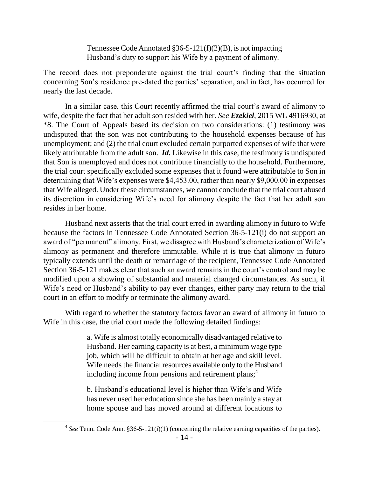Tennessee Code Annotated §36-5-121(f)(2)(B), is not impacting Husband"s duty to support his Wife by a payment of alimony.

The record does not preponderate against the trial court's finding that the situation concerning Son's residence pre-dated the parties' separation, and in fact, has occurred for nearly the last decade.

In a similar case, this Court recently affirmed the trial court's award of alimony to wife, despite the fact that her adult son resided with her. *See Ezekiel*, 2015 WL 4916930, at \*8. The Court of Appeals based its decision on two considerations: (1) testimony was undisputed that the son was not contributing to the household expenses because of his unemployment; and (2) the trial court excluded certain purported expenses of wife that were likely attributable from the adult son. *Id.* Likewise in this case, the testimony is undisputed that Son is unemployed and does not contribute financially to the household. Furthermore, the trial court specifically excluded some expenses that it found were attributable to Son in determining that Wife's expenses were \$4,453.00, rather than nearly \$9,000.00 in expenses that Wife alleged. Under these circumstances, we cannot conclude that the trial court abused its discretion in considering Wife"s need for alimony despite the fact that her adult son resides in her home.

Husband next asserts that the trial court erred in awarding alimony in futuro to Wife because the factors in Tennessee Code Annotated Section 36-5-121(i) do not support an award of "permanent" alimony. First, we disagree with Husband"s characterization of Wife"s alimony as permanent and therefore immutable. While it is true that alimony in futuro typically extends until the death or remarriage of the recipient, Tennessee Code Annotated Section 36-5-121 makes clear that such an award remains in the court's control and may be modified upon a showing of substantial and material changed circumstances. As such, if Wife's need or Husband's ability to pay ever changes, either party may return to the trial court in an effort to modify or terminate the alimony award.

With regard to whether the statutory factors favor an award of alimony in futuro to Wife in this case, the trial court made the following detailed findings:

> a. Wife is almost totally economically disadvantaged relative to Husband. Her earning capacity is at best, a minimum wage type job, which will be difficult to obtain at her age and skill level. Wife needs the financial resources available only to the Husband including income from pensions and retirement plans;<sup>4</sup>

> b. Husband"s educational level is higher than Wife"s and Wife has never used her education since she has been mainly a stay at home spouse and has moved around at different locations to

 $4$  See Tenn. Code Ann. §36-5-121(i)(1) (concerning the relative earning capacities of the parties).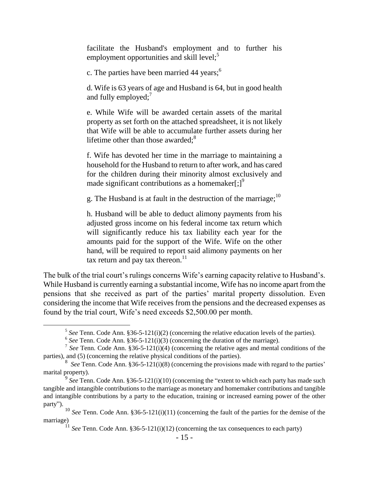facilitate the Husband's employment and to further his employment opportunities and skill level; $\frac{5}{3}$ 

c. The parties have been married 44 years; $<sup>6</sup>$ </sup>

d. Wife is 63 years of age and Husband is 64, but in good health and fully employed;<sup>7</sup>

e. While Wife will be awarded certain assets of the marital property as set forth on the attached spreadsheet, it is not likely that Wife will be able to accumulate further assets during her lifetime other than those awarded; $8<sup>8</sup>$ 

f. Wife has devoted her time in the marriage to maintaining a household for the Husband to return to after work, and has cared for the children during their minority almost exclusively and made significant contributions as a homemaker $[\cdot]^9$ 

g. The Husband is at fault in the destruction of the marriage;<sup>10</sup>

h. Husband will be able to deduct alimony payments from his adjusted gross income on his federal income tax return which will significantly reduce his tax liability each year for the amounts paid for the support of the Wife. Wife on the other hand, will be required to report said alimony payments on her tax return and pay tax thereon.<sup>11</sup>

The bulk of the trial court's rulings concerns Wife's earning capacity relative to Husband's. While Husband is currently earning a substantial income, Wife has no income apart from the pensions that she received as part of the parties" marital property dissolution. Even considering the income that Wife receives from the pensions and the decreased expenses as found by the trial court, Wife"s need exceeds \$2,500.00 per month.

<sup>&</sup>lt;sup>5</sup> See Tenn. Code Ann.  $$36-5-121(i)(2)$  (concerning the relative education levels of the parties).

 $6$  See Tenn. Code Ann. §36-5-121(i)(3) (concerning the duration of the marriage).

<sup>&</sup>lt;sup>7</sup> See Tenn. Code Ann.  $$36-5-121(i)(4)$  (concerning the relative ages and mental conditions of the parties), and (5) (concerning the relative physical conditions of the parties).

 $8$  *See* Tenn. Code Ann. §36-5-121(i)(8) (concerning the provisions made with regard to the parties' marital property).

<sup>&</sup>lt;sup>9</sup> See Tenn. Code Ann. §36-5-121(i)(10) (concerning the "extent to which each party has made such tangible and intangible contributions to the marriage as monetary and homemaker contributions and tangible and intangible contributions by a party to the education, training or increased earning power of the other party").

<sup>&</sup>lt;sup>10</sup> *See* Tenn. Code Ann. §36-5-121(i)(11) (concerning the fault of the parties for the demise of the marriage)

<sup>11</sup> *See* Tenn. Code Ann. §36-5-121(i)(12) (concerning the tax consequences to each party)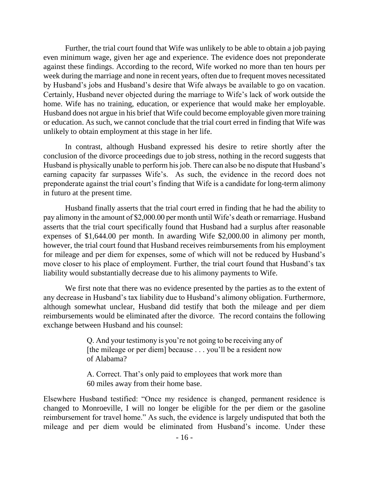Further, the trial court found that Wife was unlikely to be able to obtain a job paying even minimum wage, given her age and experience. The evidence does not preponderate against these findings. According to the record, Wife worked no more than ten hours per week during the marriage and none in recent years, often due to frequent moves necessitated by Husband"s jobs and Husband"s desire that Wife always be available to go on vacation. Certainly, Husband never objected during the marriage to Wife"s lack of work outside the home. Wife has no training, education, or experience that would make her employable. Husband does not argue in his brief that Wife could become employable given more training or education. As such, we cannot conclude that the trial court erred in finding that Wife was unlikely to obtain employment at this stage in her life.

In contrast, although Husband expressed his desire to retire shortly after the conclusion of the divorce proceedings due to job stress, nothing in the record suggests that Husband is physically unable to perform his job. There can also be no dispute that Husband"s earning capacity far surpasses Wife's. As such, the evidence in the record does not preponderate against the trial court"s finding that Wife is a candidate for long-term alimony in futuro at the present time.

Husband finally asserts that the trial court erred in finding that he had the ability to pay alimony in the amount of \$2,000.00 per month until Wife"s death or remarriage. Husband asserts that the trial court specifically found that Husband had a surplus after reasonable expenses of \$1,644.00 per month. In awarding Wife \$2,000.00 in alimony per month, however, the trial court found that Husband receives reimbursements from his employment for mileage and per diem for expenses, some of which will not be reduced by Husband"s move closer to his place of employment. Further, the trial court found that Husband"s tax liability would substantially decrease due to his alimony payments to Wife.

We first note that there was no evidence presented by the parties as to the extent of any decrease in Husband"s tax liability due to Husband"s alimony obligation. Furthermore, although somewhat unclear, Husband did testify that both the mileage and per diem reimbursements would be eliminated after the divorce. The record contains the following exchange between Husband and his counsel:

> Q. And your testimony is you"re not going to be receiving any of [the mileage or per diem] because . . . you'll be a resident now of Alabama?

> A. Correct. That"s only paid to employees that work more than 60 miles away from their home base.

Elsewhere Husband testified: "Once my residence is changed, permanent residence is changed to Monroeville, I will no longer be eligible for the per diem or the gasoline reimbursement for travel home." As such, the evidence is largely undisputed that both the mileage and per diem would be eliminated from Husband"s income. Under these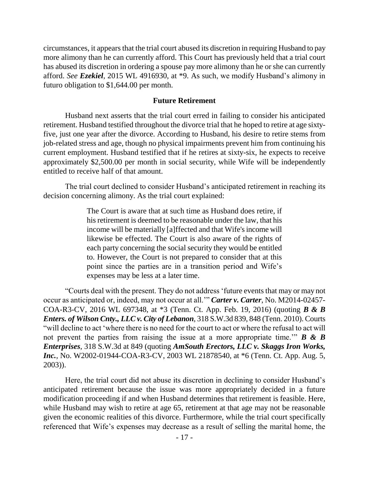circumstances, it appears that the trial court abused its discretion in requiring Husband to pay more alimony than he can currently afford. This Court has previously held that a trial court has abused its discretion in ordering a spouse pay more alimony than he or she can currently afford. *See Ezekiel*, 2015 WL 4916930, at \*9. As such, we modify Husband"s alimony in futuro obligation to \$1,644.00 per month.

#### **Future Retirement**

Husband next asserts that the trial court erred in failing to consider his anticipated retirement. Husband testified throughout the divorce trial that he hoped to retire at age sixtyfive, just one year after the divorce. According to Husband, his desire to retire stems from job-related stress and age, though no physical impairments prevent him from continuing his current employment. Husband testified that if he retires at sixty-six, he expects to receive approximately \$2,500.00 per month in social security, while Wife will be independently entitled to receive half of that amount.

The trial court declined to consider Husband"s anticipated retirement in reaching its decision concerning alimony. As the trial court explained:

> The Court is aware that at such time as Husband does retire, if his retirement is deemed to be reasonable under the law, that his income will be materially [a]ffected and that Wife's income will likewise be effected. The Court is also aware of the rights of each party concerning the social security they would be entitled to. However, the Court is not prepared to consider that at this point since the parties are in a transition period and Wife"s expenses may be less at a later time.

"Courts deal with the present. They do not address "future events that may or may not occur as anticipated or, indeed, may not occur at all."" *Carter v. Carter*, No. M2014-02457- COA-R3-CV, 2016 WL 697348, at \*3 (Tenn. Ct. App. Feb. 19, 2016) (quoting *B & B Enters. of Wilson Cnty., LLC v. City of Lebanon*, 318 S.W.3d 839, 848 (Tenn. 2010). Courts "will decline to act "where there is no need for the court to act or where the refusal to act will not prevent the parties from raising the issue at a more appropriate time."" *B & B Enterprises*, 318 S.W.3d at 849 (quoting *AmSouth Erectors, LLC v. Skaggs Iron Works, Inc.*, No. W2002-01944-COA-R3-CV, 2003 WL 21878540, at  $*6$  (Tenn. Ct. App. Aug. 5, 2003)).

Here, the trial court did not abuse its discretion in declining to consider Husband"s anticipated retirement because the issue was more appropriately decided in a future modification proceeding if and when Husband determines that retirement is feasible. Here, while Husband may wish to retire at age 65, retirement at that age may not be reasonable given the economic realities of this divorce. Furthermore, while the trial court specifically referenced that Wife's expenses may decrease as a result of selling the marital home, the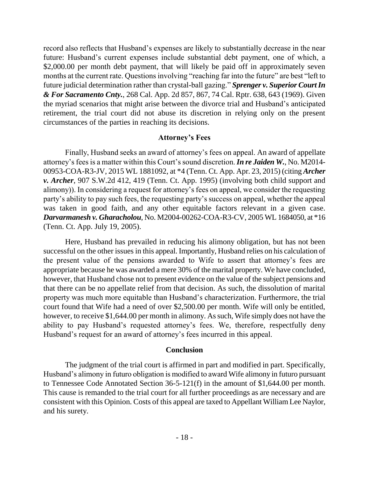record also reflects that Husband"s expenses are likely to substantially decrease in the near future: Husband"s current expenses include substantial debt payment, one of which, a \$2,000.00 per month debt payment, that will likely be paid off in approximately seven months at the current rate. Questions involving "reaching far into the future" are best "left to future judicial determination rather than crystal-ball gazing." *Sprenger v. Superior Court In & For Sacramento Cnty.*, 268 Cal. App. 2d 857, 867, 74 Cal. Rptr. 638, 643 (1969). Given the myriad scenarios that might arise between the divorce trial and Husband"s anticipated retirement, the trial court did not abuse its discretion in relying only on the present circumstances of the parties in reaching its decisions.

#### **Attorney's Fees**

Finally, Husband seeks an award of attorney"s fees on appeal. An award of appellate attorney's fees is a matter within this Court's sound discretion. *In re Jaiden W.*, No. M2014-00953-COA-R3-JV, 2015 WL 1881092, at \*4 (Tenn. Ct. App. Apr. 23, 2015) (citing *Archer v. Archer*, 907 S.W.2d 412, 419 (Tenn. Ct. App. 1995) (involving both child support and alimony)). In considering a request for attorney"s fees on appeal, we consider the requesting party"s ability to pay such fees, the requesting party"s success on appeal, whether the appeal was taken in good faith, and any other equitable factors relevant in a given case. *Darvarmanesh v. Gharacholou*, No. M2004-00262-COA-R3-CV, 2005 WL 1684050, at \*16 (Tenn. Ct. App. July 19, 2005).

Here, Husband has prevailed in reducing his alimony obligation, but has not been successful on the other issues in this appeal. Importantly, Husband relies on his calculation of the present value of the pensions awarded to Wife to assert that attorney"s fees are appropriate because he was awarded a mere 30% of the marital property. We have concluded, however, that Husband chose not to present evidence on the value of the subject pensions and that there can be no appellate relief from that decision. As such, the dissolution of marital property was much more equitable than Husband"s characterization. Furthermore, the trial court found that Wife had a need of over \$2,500.00 per month. Wife will only be entitled, however, to receive \$1,644.00 per month in alimony. As such, Wife simply does not have the ability to pay Husband's requested attorney's fees. We, therefore, respectfully deny Husband"s request for an award of attorney"s fees incurred in this appeal.

#### **Conclusion**

The judgment of the trial court is affirmed in part and modified in part. Specifically, Husband"s alimony in futuro obligation is modified to award Wife alimony in futuro pursuant to Tennessee Code Annotated Section 36-5-121(f) in the amount of \$1,644.00 per month. This cause is remanded to the trial court for all further proceedings as are necessary and are consistent with this Opinion. Costs of this appeal are taxed to Appellant William Lee Naylor, and his surety.